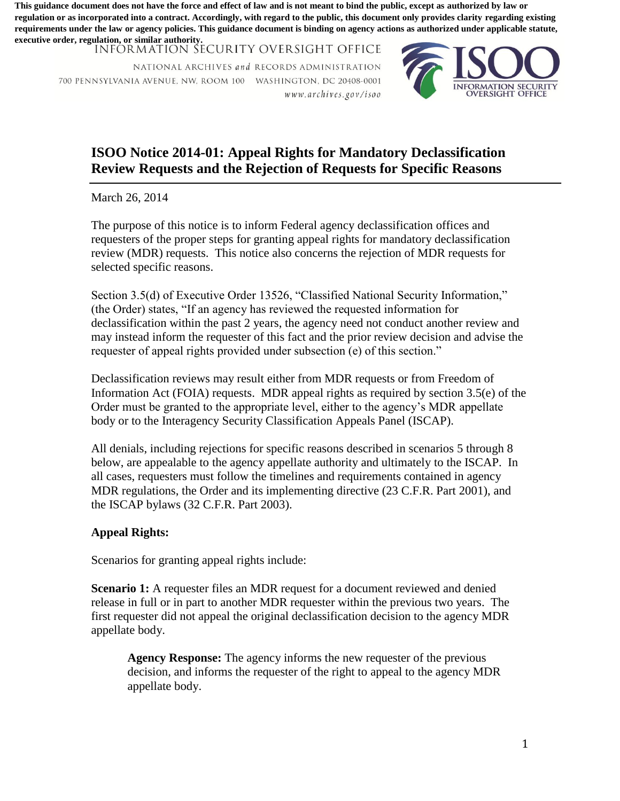**regulation or as incorporated into a contract. Accordingly, with regard to the public, this document only provides clarity regarding existing requirements under the law or agency policies. This guidance document is binding on agency actions as authorized under applicable statute, executive order, regulation, or similar authority.**

**INFÓRMATION SECURITY OVERSIGHT OFFICE** 

NATIONAL ARCHIVES and RECORDS ADMINISTRATION 700 PENNSYLVANIA AVENUE. NW. ROOM 100 WASHINGTON. DC 20408-000 1 iv ww. *archives.gov /isoo* 



## **Review Requests and the Rejection of Requests for Specific Reasons ISOO Notice 2014-01: Appeal Rights for Mandatory Declassification**

March 26, 2014

The purpose of this notice is to inform Federal agency declassification offices and requesters of the proper steps for granting appeal rights for mandatory declassification review (MDR) requests. This notice also concerns the rejection of MDR requests for selected specific reasons.

 requester of appeal rights provided under subsection (e) of this section." Section 3.5(d) of Executive Order 13526, "Classified National Security Information," (the Order) states, "If an agency has reviewed the requested information for declassification within the past 2 years, the agency need not conduct another review and may instead inform the requester of this fact and the prior review decision and advise the This guidance down the force and the force and the force and is not not not have the force and the force and the force and the force and the force and the force and the force and the force and effect of  $\frac{1}{2}$  and  $\frac{$ 

Declassification reviews may result either from MDR requests or from Freedom of Information Act (FOIA) requests. MDR appeal rights as required by section 3.5(e) of the Order must be granted to the appropriate level, either to the agency's MDR appellate body or to the Interagency Security Classification Appeals Panel (ISCAP).

All denials, including rejections for specific reasons described in scenarios 5 through 8 below, are appealable to the agency appellate authority and ultimately to the ISCAP. In all cases, requesters must follow the timelines and requirements contained in agency MDR regulations, the Order and its implementing directive (23 C.F.R. Part 2001), and the ISCAP bylaws (32 C.F.R. Part 2003).

## **Appeal Rights:**

Scenarios for granting appeal rights include:

**Scenario 1:** A requester files an MDR request for a document reviewed and denied release in full or in part to another MDR requester within the previous two years. The first requester did not appeal the original declassification decision to the agency MDR appellate body.

**Agency Response:** The agency informs the new requester of the previous decision, and informs the requester of the right to appeal to the agency MDR appellate body.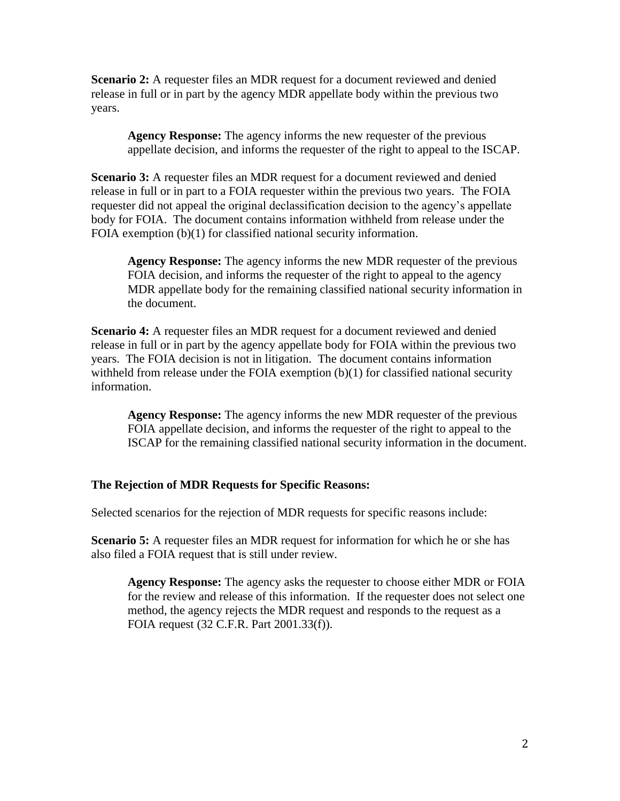**Scenario 2:** A requester files an MDR request for a document reviewed and denied release in full or in part by the agency MDR appellate body within the previous two years.

 appellate decision, and informs the requester of the right to appeal to the ISCAP. **Agency Response:** The agency informs the new requester of the previous

**Scenario 3:** A requester files an MDR request for a document reviewed and denied body for FOIA. The document contains information withheld from release under the release in full or in part to a FOIA requester within the previous two years. The FOIA requester did not appeal the original declassification decision to the agency's appellate FOIA exemption (b)(1) for classified national security information.

**Agency Response:** The agency informs the new MDR requester of the previous FOIA decision, and informs the requester of the right to appeal to the agency MDR appellate body for the remaining classified national security information in the document.

 **Scenario 4:** A requester files an MDR request for a document reviewed and denied release in full or in part by the agency appellate body for FOIA within the previous two years. The FOIA decision is not in litigation. The document contains information withheld from release under the FOIA exemption (b)(1) for classified national security information.

 FOIA appellate decision, and informs the requester of the right to appeal to the **Agency Response:** The agency informs the new MDR requester of the previous ISCAP for the remaining classified national security information in the document.

## **The Rejection of MDR Requests for Specific Reasons:**

Selected scenarios for the rejection of MDR requests for specific reasons include:

 also filed a FOIA request that is still under review. **Scenario 5:** A requester files an MDR request for information for which he or she has

 **Agency Response:** The agency asks the requester to choose either MDR or FOIA for the review and release of this information. If the requester does not select one method, the agency rejects the MDR request and responds to the request as a FOIA request (32 C.F.R. Part 2001.33(f)).